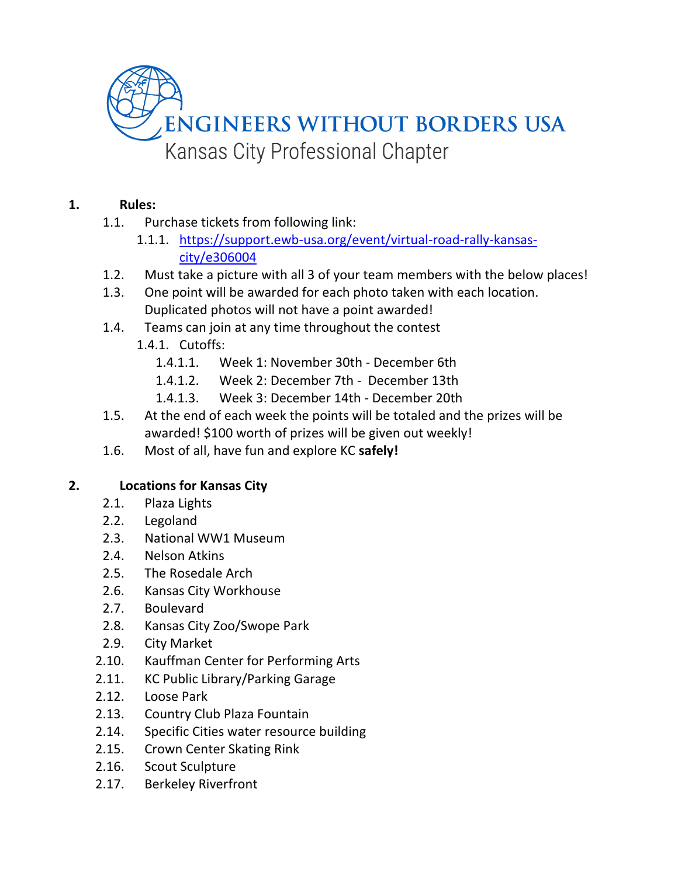

## **1. Rules:**

- 1.1. Purchase tickets from following link:
	- 1.1.1. [https://support.ewb-usa.org/event/virtual-road-rally-kansas](https://support.ewb-usa.org/event/virtual-road-rally-kansas-city/e306004)[city/e306004](https://support.ewb-usa.org/event/virtual-road-rally-kansas-city/e306004)
- 1.2. Must take a picture with all 3 of your team members with the below places!
- 1.3. One point will be awarded for each photo taken with each location. Duplicated photos will not have a point awarded!
- 1.4. Teams can join at any time throughout the contest
	- 1.4.1. Cutoffs:
		- 1.4.1.1. Week 1: November 30th December 6th
		- 1.4.1.2. Week 2: December 7th December 13th
		- 1.4.1.3. Week 3: December 14th December 20th
- 1.5. At the end of each week the points will be totaled and the prizes will be awarded! \$100 worth of prizes will be given out weekly!
- 1.6. Most of all, have fun and explore KC **safely!**

## **2. Locations for Kansas City**

- 2.1. Plaza Lights
- 2.2. Legoland
- 2.3. National WW1 Museum
- 2.4. Nelson Atkins
- 2.5. The Rosedale Arch
- 2.6. Kansas City Workhouse
- 2.7. Boulevard
- 2.8. Kansas City Zoo/Swope Park
- 2.9. City Market
- 2.10. Kauffman Center for Performing Arts
- 2.11. KC Public Library/Parking Garage
- 2.12. Loose Park
- 2.13. Country Club Plaza Fountain
- 2.14. Specific Cities water resource building
- 2.15. Crown Center Skating Rink
- 2.16. Scout Sculpture
- 2.17. Berkeley Riverfront